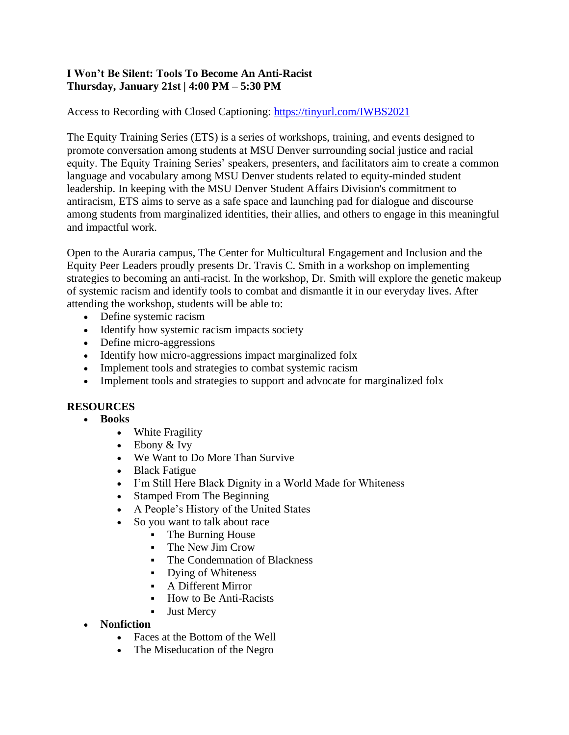## **I Won't Be Silent: Tools To Become An Anti-Racist Thursday, January 21st | 4:00 PM – 5:30 PM**

Access to Recording with Closed Captioning: [https://tinyurl.com/IWBS2021](https://nam04.safelinks.protection.outlook.com/?url=https%3A%2F%2Ftinyurl.com%2FIWBS2021&data=04%7C01%7Ctnguy283%40msudenver.edu%7C4a220fd780f44fa3201e08d8bea06b40%7C03309ca417334af9a73cf18cc841325c%7C1%7C0%7C637468943497623239%7CUnknown%7CTWFpbGZsb3d8eyJWIjoiMC4wLjAwMDAiLCJQIjoiV2luMzIiLCJBTiI6Ik1haWwiLCJXVCI6Mn0%3D%7C1000&sdata=G0K4QzRpD93FH5v9TpXWJTT%2FWFlhjcSVm6GBn02Xtk0%3D&reserved=0)

The Equity Training Series (ETS) is a series of workshops, training, and events designed to promote conversation among students at MSU Denver surrounding social justice and racial equity. The Equity Training Series' speakers, presenters, and facilitators aim to create a common language and vocabulary among MSU Denver students related to equity-minded student leadership. In keeping with the MSU Denver Student Affairs Division's commitment to antiracism, ETS aims to serve as a safe space and launching pad for dialogue and discourse among students from marginalized identities, their allies, and others to engage in this meaningful and impactful work.

Open to the Auraria campus, The Center for Multicultural Engagement and Inclusion and the Equity Peer Leaders proudly presents Dr. Travis C. Smith in a workshop on implementing strategies to becoming an anti-racist. In the workshop, Dr. Smith will explore the genetic makeup of systemic racism and identify tools to combat and dismantle it in our everyday lives. After attending the workshop, students will be able to:

- Define systemic racism
- Identify how systemic racism impacts society
- Define micro-aggressions
- Identify how micro-aggressions impact marginalized folx
- Implement tools and strategies to combat systemic racism
- Implement tools and strategies to support and advocate for marginalized folx

## **RESOURCES**

- **Books**
	- White Fragility
	- Ebony & Ivy
	- We Want to Do More Than Survive
	- Black Fatigue
	- I'm Still Here Black Dignity in a World Made for Whiteness
	- Stamped From The Beginning
	- A People's History of the United States
	- So you want to talk about race
		- **•** The Burning House
		- **•** The New Jim Crow
		- **•** The Condemnation of Blackness
		- Dying of Whiteness
		- A Different Mirror
		- How to Be Anti-Racists
		- **•** Just Mercy
- **Nonfiction** 
	- Faces at the Bottom of the Well
	- The Miseducation of the Negro